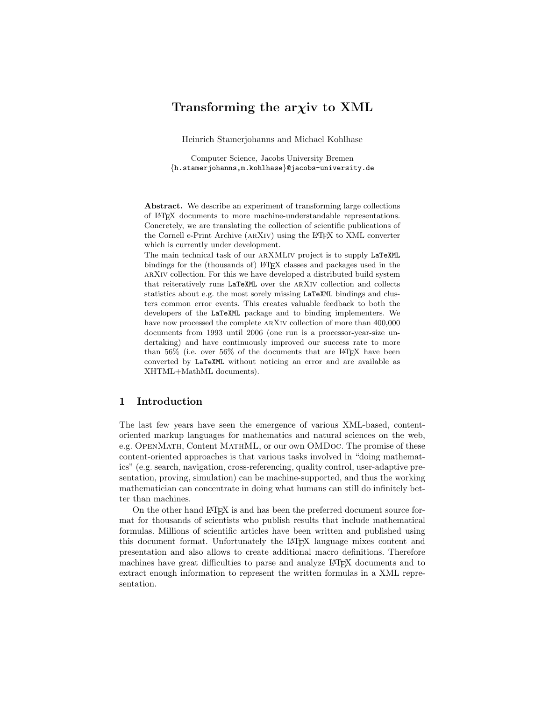# Transforming the ar $\chi$ iv to XML

Heinrich Stamerjohanns and Michael Kohlhase

Computer Science, Jacobs University Bremen {h.stamerjohanns,m.kohlhase}@jacobs-university.de

Abstract. We describe an experiment of transforming large collections of LATEX documents to more machine-understandable representations. Concretely, we are translating the collection of scientific publications of the Cornell e-Print Archive (ARXIV) using the LAT<sub>EX</sub> to XML converter which is currently under development.

The main technical task of our arXMLiv project is to supply LaTeXML bindings for the (thousands of) LAT<sub>EX</sub> classes and packages used in the arXiv collection. For this we have developed a distributed build system that reiteratively runs LaTeXML over the arXiv collection and collects statistics about e.g. the most sorely missing LaTeXML bindings and clusters common error events. This creates valuable feedback to both the developers of the LaTeXML package and to binding implementers. We have now processed the complete ARXIV collection of more than  $400,000$ documents from 1993 until 2006 (one run is a processor-year-size undertaking) and have continuously improved our success rate to more than  $56\%$  (i.e. over  $56\%$  of the documents that are L<sup>A</sup>T<sub>E</sub>X have been converted by LaTeXML without noticing an error and are available as XHTML+MathML documents).

#### 1 Introduction

The last few years have seen the emergence of various XML-based, contentoriented markup languages for mathematics and natural sciences on the web, e.g. OpenMath, Content MathML, or our own OMDoc. The promise of these content-oriented approaches is that various tasks involved in "doing mathematics" (e.g. search, navigation, cross-referencing, quality control, user-adaptive presentation, proving, simulation) can be machine-supported, and thus the working mathematician can concentrate in doing what humans can still do infinitely better than machines.

On the other hand LAT<sub>EX</sub> is and has been the preferred document source format for thousands of scientists who publish results that include mathematical formulas. Millions of scientific articles have been written and published using this document format. Unfortunately the LATEX language mixes content and presentation and also allows to create additional macro definitions. Therefore machines have great difficulties to parse and analyze LATEX documents and to extract enough information to represent the written formulas in a XML representation.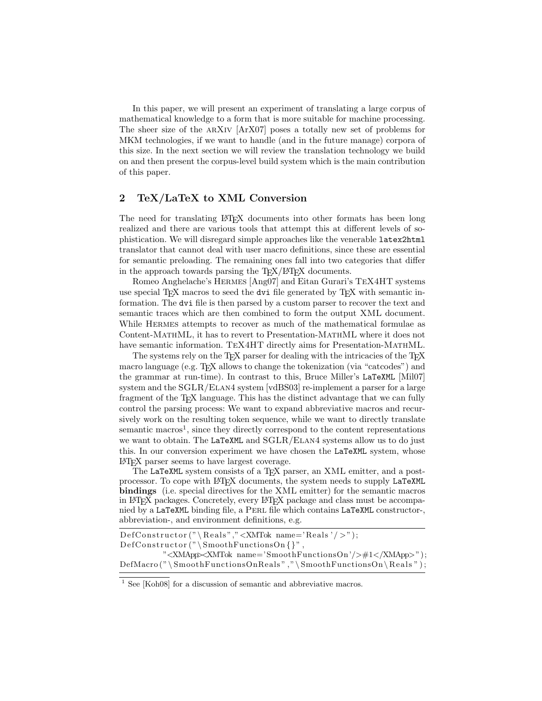In this paper, we will present an experiment of translating a large corpus of mathematical knowledge to a form that is more suitable for machine processing. The sheer size of the arXiv [ArX07] poses a totally new set of problems for MKM technologies, if we want to handle (and in the future manage) corpora of this size. In the next section we will review the translation technology we build on and then present the corpus-level build system which is the main contribution of this paper.

# 2 TeX/LaTeX to XML Conversion

The need for translating LAT<sub>EX</sub> documents into other formats has been long realized and there are various tools that attempt this at different levels of sophistication. We will disregard simple approaches like the venerable latex2html translator that cannot deal with user macro definitions, since these are essential for semantic preloading. The remaining ones fall into two categories that differ in the approach towards parsing the  $T_{\rm F}X/H_{\rm F}X$  documents.

Romeo Anghelache's Hermes [Ang07] and Eitan Gurari's TeX4HT systems use special T<sub>E</sub>X macros to seed the dvi file generated by T<sub>E</sub>X with semantic information. The dvi file is then parsed by a custom parser to recover the text and semantic traces which are then combined to form the output XML document. While Hermes attempts to recover as much of the mathematical formulae as Content-MathML, it has to revert to Presentation-MathML where it does not have semantic information. TEX4HT directly aims for Presentation-MATHML.

The systems rely on the TEX parser for dealing with the intricacies of the TEX macro language (e.g. TEX allows to change the tokenization (via "catcodes") and the grammar at run-time). In contrast to this, Bruce Miller's LaTeXML [Mil07] system and the SGLR/Elan4 system [vdBS03] re-implement a parser for a large fragment of the T<sub>E</sub>X language. This has the distinct advantage that we can fully control the parsing process: We want to expand abbreviative macros and recursively work on the resulting token sequence, while we want to directly translate semantic macros<sup>1</sup>, since they directly correspond to the content representations we want to obtain. The LaTeXML and SGLR/Elan4 systems allow us to do just this. In our conversion experiment we have chosen the LaTeXML system, whose LATEX parser seems to have largest coverage.

The LaTeXML system consists of a T<sub>E</sub>X parser, an XML emitter, and a postprocessor. To cope with LATEX documents, the system needs to supply LaTeXML bindings (i.e. special directives for the XML emitter) for the semantic macros in LATEX packages. Concretely, every LATEX package and class must be accompanied by a LaTeXML binding file, a PERL file which contains LaTeXML constructor-, abbreviation-, and environment definitions, e.g.

 $\mathrm{DefConstructor}\left(\mathbb{''}\backslash\operatorname{Reals}\right.\mathbb{''},\mathbb{''}\triangleleft\mathrm{M}$ Tok name=' $\operatorname{Reals}\left(\mathbb{'}\right)$ ');

 $DefConstructor("\\ \mathrm{SmoothFunctionsOn} {}\$ 

"<XMApp><XMTok name='SmoothFunctionsOn'/>#1</XMApp>");  $DefMacco("\SmoothFunctionsOnReals", "\SmoothFunctionsOn\Re eals"$ ;

 $1$  See [Koh08] for a discussion of semantic and abbreviative macros.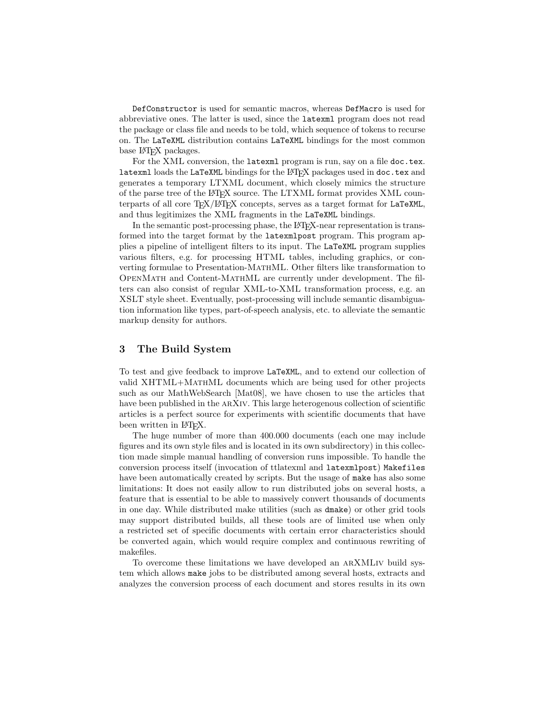DefConstructor is used for semantic macros, whereas DefMacro is used for abbreviative ones. The latter is used, since the latexml program does not read the package or class file and needs to be told, which sequence of tokens to recurse on. The LaTeXML distribution contains LaTeXML bindings for the most common base LATEX packages.

For the XML conversion, the latexml program is run, say on a file doc.tex. latexml loads the LaTeXML bindings for the LAT<sub>EX</sub> packages used in doc.tex and generates a temporary LTXML document, which closely mimics the structure of the parse tree of the LATEX source. The LTXML format provides XML counterparts of all core TEX/LATEX concepts, serves as a target format for LaTeXML, and thus legitimizes the XML fragments in the LaTeXML bindings.

In the semantic post-processing phase, the LAT<sub>EX</sub>-near representation is transformed into the target format by the latexmlpost program. This program applies a pipeline of intelligent filters to its input. The LaTeXML program supplies various filters, e.g. for processing HTML tables, including graphics, or converting formulae to Presentation-MathML. Other filters like transformation to OpenMath and Content-MathML are currently under development. The filters can also consist of regular XML-to-XML transformation process, e.g. an XSLT style sheet. Eventually, post-processing will include semantic disambiguation information like types, part-of-speech analysis, etc. to alleviate the semantic markup density for authors.

# 3 The Build System

To test and give feedback to improve LaTeXML, and to extend our collection of valid XHTML+MathML documents which are being used for other projects such as our MathWebSearch [Mat08], we have chosen to use the articles that have been published in the ARXIV. This large heterogenous collection of scientific articles is a perfect source for experiments with scientific documents that have been written in L<sup>AT</sup>EX.

The huge number of more than 400.000 documents (each one may include figures and its own style files and is located in its own subdirectory) in this collection made simple manual handling of conversion runs impossible. To handle the conversion process itself (invocation of ttlatexml and latexmlpost) Makefiles have been automatically created by scripts. But the usage of make has also some limitations: It does not easily allow to run distributed jobs on several hosts, a feature that is essential to be able to massively convert thousands of documents in one day. While distributed make utilities (such as dmake) or other grid tools may support distributed builds, all these tools are of limited use when only a restricted set of specific documents with certain error characteristics should be converted again, which would require complex and continuous rewriting of makefiles.

To overcome these limitations we have developed an arXMLiv build system which allows make jobs to be distributed among several hosts, extracts and analyzes the conversion process of each document and stores results in its own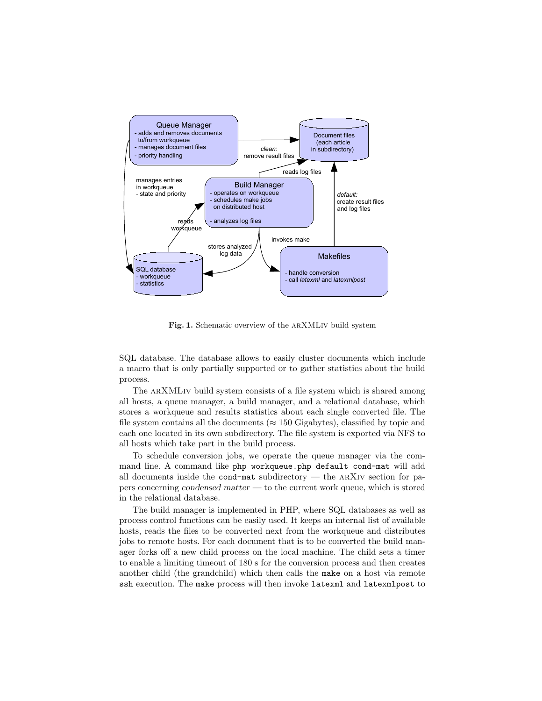

Fig. 1. Schematic overview of the arXMLiv build system

SQL database. The database allows to easily cluster documents which include a macro that is only partially supported or to gather statistics about the build process.

The arXMLiv build system consists of a file system which is shared among all hosts, a queue manager, a build manager, and a relational database, which stores a workqueue and results statistics about each single converted file. The file system contains all the documents ( $\approx 150$  Gigabytes), classified by topic and each one located in its own subdirectory. The file system is exported via NFS to all hosts which take part in the build process.

To schedule conversion jobs, we operate the queue manager via the command line. A command like php workqueue.php default cond-mat will add all documents inside the cond-mat subdirectory — the arXiv section for papers concerning condensed matter — to the current work queue, which is stored in the relational database.

The build manager is implemented in PHP, where SQL databases as well as process control functions can be easily used. It keeps an internal list of available hosts, reads the files to be converted next from the workqueue and distributes jobs to remote hosts. For each document that is to be converted the build manager forks off a new child process on the local machine. The child sets a timer to enable a limiting timeout of 180 s for the conversion process and then creates another child (the grandchild) which then calls the make on a host via remote ssh execution. The make process will then invoke latexml and latexmlpost to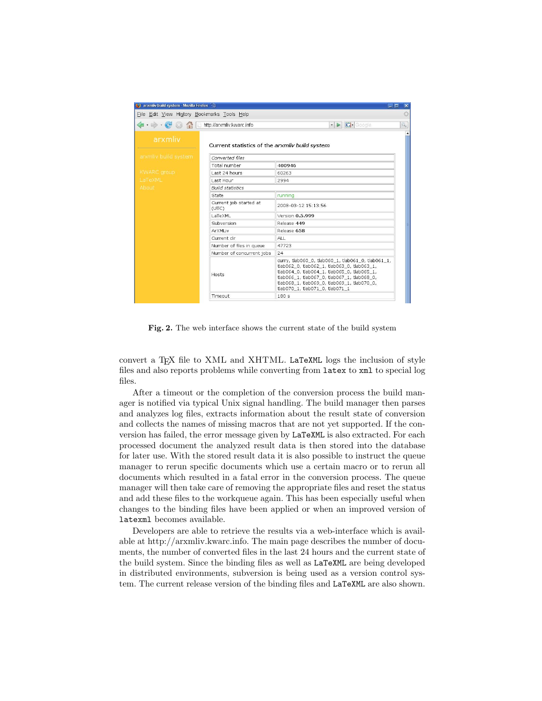| arxmliv build system - Mozilla Firefox         |                                                |                                                                                                                                                                                                                                                                                   | $\mathbf{x}$<br>$-1$                        |
|------------------------------------------------|------------------------------------------------|-----------------------------------------------------------------------------------------------------------------------------------------------------------------------------------------------------------------------------------------------------------------------------------|---------------------------------------------|
| File Edit View History Bookmarks Tools Help    |                                                |                                                                                                                                                                                                                                                                                   | $\hat{\xi}^{\prime\prime}{}_{\hat{\sigma}}$ |
| $\cdot \cdot \cdot$ c $\cdot \cdot$ at $\cdot$ | http://arxmliv.kwarc.info                      | <b>G</b> Google<br>$\triangleright$<br>$\mathbf{v}$                                                                                                                                                                                                                               | $Q_{\rm c}$                                 |
| arxmliv                                        | Current statistics of the arxmliv build system |                                                                                                                                                                                                                                                                                   |                                             |
| arxmliv build system                           | Converted files                                |                                                                                                                                                                                                                                                                                   |                                             |
|                                                | Total number                                   | 400946                                                                                                                                                                                                                                                                            |                                             |
| <b>KWARC</b> group                             | Last 24 hours                                  | 60263                                                                                                                                                                                                                                                                             |                                             |
| LaTeXML                                        | Last Hour                                      | 2994                                                                                                                                                                                                                                                                              |                                             |
| About                                          | <b>Build statistics</b>                        |                                                                                                                                                                                                                                                                                   |                                             |
|                                                | State                                          | running                                                                                                                                                                                                                                                                           |                                             |
|                                                | Current job started at<br>(UTC)                | 2008-03-12 15:13:56                                                                                                                                                                                                                                                               |                                             |
|                                                | LaTeXML                                        | Version 0.5.999                                                                                                                                                                                                                                                                   |                                             |
|                                                | Subversion                                     | Release 449                                                                                                                                                                                                                                                                       |                                             |
|                                                | ArXMLiv                                        | Release 658                                                                                                                                                                                                                                                                       |                                             |
|                                                | Current dir                                    | <b>ALL</b>                                                                                                                                                                                                                                                                        |                                             |
|                                                | Number of files in queue                       | 47723                                                                                                                                                                                                                                                                             |                                             |
|                                                | Number of concurrent jobs                      | 24                                                                                                                                                                                                                                                                                |                                             |
|                                                | Hosts                                          | curry, tlab060_0, tlab060_1, tlab061_0, tlab061_1,<br>tlab062 0, tlab062 1, tlab063 0, tlab063 1,<br>tlab064 0, tlab064 1, tlab065 0, tlab065 1,<br>tlab066 1, tlab067 0, tlab067 1, tlab068 0,<br>tlab068_1, tlab069_0, tlab069_1, tlab070_0,<br>tlab070 1, tlab071 0, tlab071 1 |                                             |
|                                                | Timeout                                        | 180 s                                                                                                                                                                                                                                                                             |                                             |

Fig. 2. The web interface shows the current state of the build system

convert a T<sub>E</sub>X file to XML and XHTML. LaTeXML logs the inclusion of style files and also reports problems while converting from latex to xml to special log files.

After a timeout or the completion of the conversion process the build manager is notified via typical Unix signal handling. The build manager then parses and analyzes log files, extracts information about the result state of conversion and collects the names of missing macros that are not yet supported. If the conversion has failed, the error message given by LaTeXML is also extracted. For each processed document the analyzed result data is then stored into the database for later use. With the stored result data it is also possible to instruct the queue manager to rerun specific documents which use a certain macro or to rerun all documents which resulted in a fatal error in the conversion process. The queue manager will then take care of removing the appropriate files and reset the status and add these files to the workqueue again. This has been especially useful when changes to the binding files have been applied or when an improved version of latexml becomes available.

Developers are able to retrieve the results via a web-interface which is available at http://arxmliv.kwarc.info. The main page describes the number of documents, the number of converted files in the last 24 hours and the current state of the build system. Since the binding files as well as LaTeXML are being developed in distributed environments, subversion is being used as a version control system. The current release version of the binding files and LaTeXML are also shown.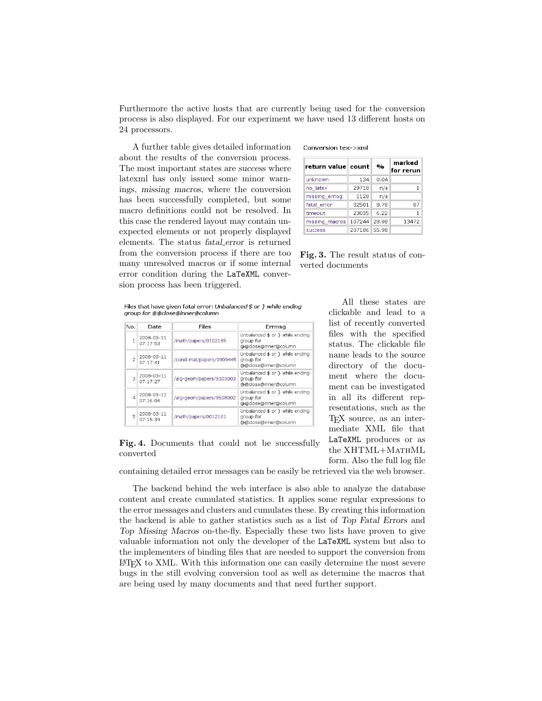Furthermore the active hosts that are currently being used for the conversion process is also displayed. For our experiment we have used 13 different hosts on 24 processors.

A further table gives detailed information about the results of the conversion process. The most important states are success where latexml has only issued some minor warnings, missing macros, where the conversion has been successfully completed, but some macro definitions could not be resolved. In this case the rendered layout may contain unexpected elements or not properly displayed elements. The status fatal error is returned from the conversion process if there are too many unresolved macros or if some internal error condition during the LaTeXML conversion process has been triggered.

Conversion tex->xml

| return value count |        | $\mathbf{O}/\mathbf{O}$ | marked<br>for rerun |
|--------------------|--------|-------------------------|---------------------|
| unknown            | 134    | 0.04                    |                     |
| no latex           | 29718  | n/a                     |                     |
| missing_errlog     | 1128   | n/a                     |                     |
| fatal error        | 32501  | 8.78                    | 87                  |
| timeout            | 23035  | 6.22                    |                     |
| missing_macros     | 107244 | 28.98                   | 13472               |
| <b>SUCCESS</b>     | 207186 | 55.98                   |                     |

Fig. 3. The result status of converted documents

Files that have given fatal error: Unbalanced \$ or } while ending group for @@close@inner@column

| No.<br><b>Date</b> |                        | Files                                                                                        | Errmsg                                                               |  |  |
|--------------------|------------------------|----------------------------------------------------------------------------------------------|----------------------------------------------------------------------|--|--|
| $\overline{1}$     | 2008-03-11<br>07:17:53 | Unbalanced \$ or } while ending<br>/math/papers/0102185<br>group for<br>@@close@inner@column |                                                                      |  |  |
| $\overline{c}$     | 2008-03-11<br>07:17:41 | /cond-mat/papers/9909445                                                                     | Unbalanced \$ or } while ending<br>group for<br>@@close@inner@column |  |  |
| $\overline{3}$     | 2008-03-11<br>07:17:27 | /alg-geom/papers/9303003                                                                     | Unbalanced \$ or } while ending<br>group for<br>@@close@inner@column |  |  |
| $\overline{a}$     | 2008-03-11<br>07:16:04 | /alg-geom/papers/9508002                                                                     | Unbalanced \$ or } while ending<br>group for<br>@@close@inner@column |  |  |
| $\overline{a}$     | 2008-03-11<br>07:15:39 | /math/papers/0012161                                                                         | Unbalanced \$ or } while ending<br>group for<br>@@close@inner@column |  |  |

Fig. 4. Documents that could not be successfully converted

All these states are clickable and lead to a list of recently converted files with the specified status. The clickable file name leads to the source directory of the document where the document can be investigated in all its different representations, such as the TEX source, as an intermediate XML file that LaTeXML produces or as the XHTML+MathML form. Also the full log file

containing detailed error messages can be easily be retrieved via the web browser.

The backend behind the web interface is also able to analyze the database content and create cumulated statistics. It applies some regular expressions to the error messages and clusters and cumulates these. By creating this information the backend is able to gather statistics such as a list of Top Fatal Errors and Top Missing Macros on-the-fly. Especially these two lists have proven to give valuable information not only the developer of the LaTeXML system but also to the implementers of binding files that are needed to support the conversion from LATEX to XML. With this information one can easily determine the most severe bugs in the still evolving conversion tool as well as determine the macros that are being used by many documents and that need further support.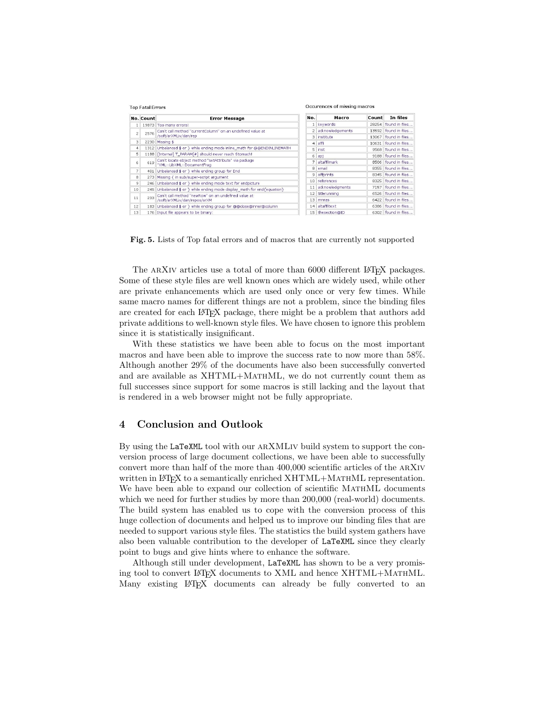| <b>Top Fatal Errors</b> |           | Occurences of missing macros                                                        |                |                    |       |                      |
|-------------------------|-----------|-------------------------------------------------------------------------------------|----------------|--------------------|-------|----------------------|
|                         | No. Count | <b>Error Message</b>                                                                | No.            | Macro              | Count | In files             |
|                         |           | 19873 Too many errors!                                                              |                | 1 keywords         |       | 28254 found in files |
| $\overline{2}$          | 2576      | Can't call method "currentColumn" on an undefined value at                          | $\overline{2}$ | acknowledgements   |       | 13592 found in files |
|                         |           | /soft/arXMLiv/dan/rep                                                               |                | 3 institute        |       | 13067 found in files |
| 3                       |           | 2230 Missing \$                                                                     | $\overline{4}$ | laffil             |       | 10631 found in files |
| $\overline{4}$          |           | 1312 Unbalanced \$ or } while ending mode inline math for @@ENDINLINEMATH           | 5              | inst               |       | 9568 found in files  |
| 5                       |           | 1188 [Internal] T_PARAM[#] should never reach Stomach!                              | 6              | apj                |       | 9188 found in files  |
| 6                       | 619       | Can't locate object method "setAttribute" via package<br>"XML::LibXML::DocumentFrag | 7              | altaffilmark       |       | 8506 found in files  |
| 7                       |           | 401 Unbalanced \$ or } while ending group for End                                   | 8              | email              |       | 8355 found in files  |
| 8                       |           | 273 Missing { in sub/super-script argument                                          |                | 9 offprints        |       | 8345 found in files  |
| 9                       |           | 246 Unbalanced \$ or } while ending mode text for endpicture                        |                | 10 references      |       | 8325 found in files  |
| 10                      |           | 245 Unbalanced \$ or } while ending mode display_math for end{equation}             |                | 11 acknowledgments |       | 7157 found in files  |
|                         |           | Can't call method "newRow" on an undefined value at                                 |                | 12 titlerunning    |       | 6526 found in files  |
|                         | 11<br>233 | /soft/arXMLiv/dan/repos/arXM                                                        | 13             | <b>Imnras</b>      |       | 6422 found in files  |
| 12                      |           | 183 Unbalanced \$ or } while ending group for @@close@inner@column                  |                | 14 altaffiltext    |       | 6386 found in files  |
| 13                      |           | 176 Input file appears to be binary:                                                |                | 15 thesection@ID   |       | 6302 found in files  |

Fig. 5. Lists of Top fatal errors and of macros that are currently not supported

The ARXIV articles use a total of more than 6000 different L<sup>AT</sup>EX packages. Some of these style files are well known ones which are widely used, while other are private enhancements which are used only once or very few times. While same macro names for different things are not a problem, since the binding files are created for each LATEX package, there might be a problem that authors add private additions to well-known style files. We have chosen to ignore this problem since it is statistically insignificant.

With these statistics we have been able to focus on the most important macros and have been able to improve the success rate to now more than 58%. Although another 29% of the documents have also been successfully converted and are available as XHTML+MathML, we do not currently count them as full successes since support for some macros is still lacking and the layout that is rendered in a web browser might not be fully appropriate.

### 4 Conclusion and Outlook

By using the LaTeXML tool with our arXMLiv build system to support the conversion process of large document collections, we have been able to successfully convert more than half of the more than 400,000 scientific articles of the arXiv written in LAT<sub>EX</sub> to a semantically enriched  $XHTML+MATHML$  representation. We have been able to expand our collection of scientific MATHML documents which we need for further studies by more than 200,000 (real-world) documents. The build system has enabled us to cope with the conversion process of this huge collection of documents and helped us to improve our binding files that are needed to support various style files. The statistics the build system gathers have also been valuable contribution to the developer of LaTeXML since they clearly point to bugs and give hints where to enhance the software.

Although still under development, LaTeXML has shown to be a very promising tool to convert LAT<sub>E</sub>X documents to XML and hence XHTML+MATHML. Many existing LAT<sub>EX</sub> documents can already be fully converted to an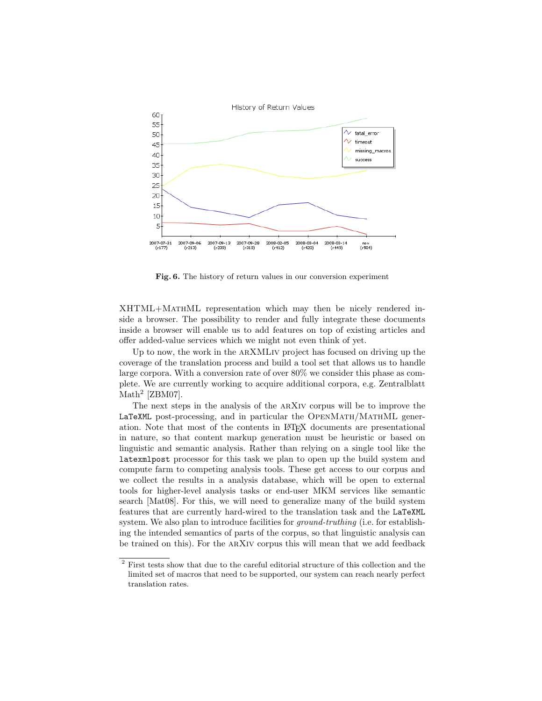

Fig. 6. The history of return values in our conversion experiment

XHTML+MathML representation which may then be nicely rendered inside a browser. The possibility to render and fully integrate these documents inside a browser will enable us to add features on top of existing articles and offer added-value services which we might not even think of yet.

Up to now, the work in the arXMLiv project has focused on driving up the coverage of the translation process and build a tool set that allows us to handle large corpora. With a conversion rate of over 80% we consider this phase as complete. We are currently working to acquire additional corpora, e.g. Zentralblatt Math<sup>2</sup> [ZBM07].

The next steps in the analysis of the arXiv corpus will be to improve the LaTeXML post-processing, and in particular the OPENMATH/MATHML generation. Note that most of the contents in LATEX documents are presentational in nature, so that content markup generation must be heuristic or based on linguistic and semantic analysis. Rather than relying on a single tool like the latexmlpost processor for this task we plan to open up the build system and compute farm to competing analysis tools. These get access to our corpus and we collect the results in a analysis database, which will be open to external tools for higher-level analysis tasks or end-user MKM services like semantic search [Mat08]. For this, we will need to generalize many of the build system features that are currently hard-wired to the translation task and the LaTeXML system. We also plan to introduce facilities for *ground-truthing* (i.e. for establishing the intended semantics of parts of the corpus, so that linguistic analysis can be trained on this). For the arXiv corpus this will mean that we add feedback

 $^{\rm 2}$  First tests show that due to the careful editorial structure of this collection and the limited set of macros that need to be supported, our system can reach nearly perfect translation rates.